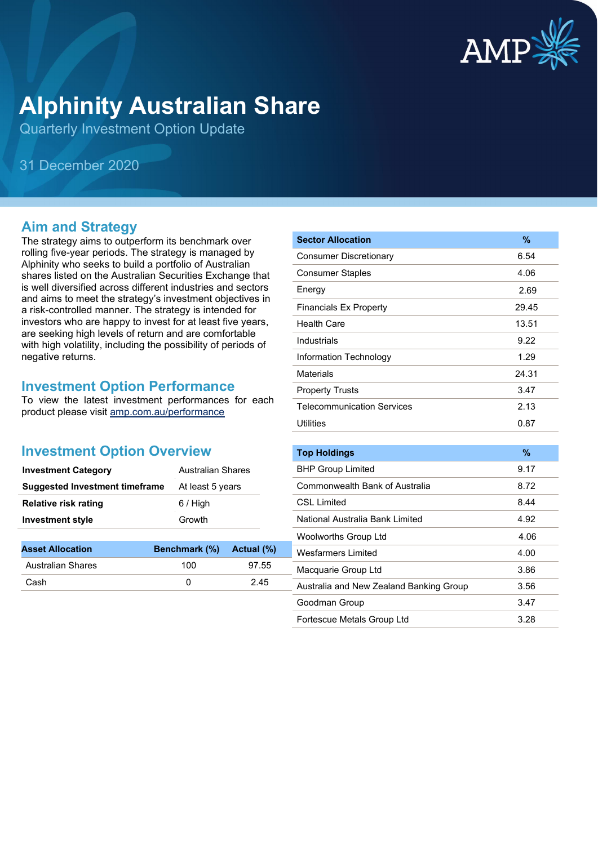

# **Alphinity Australian Share**

Quarterly Investment Option Update

31 December 2020

### **Aim and Strategy**

The strategy aims to outperform its benchmark over rolling five-year periods. The strategy is managed by Alphinity who seeks to build a portfolio of Australian shares listed on the Australian Securities Exchange that is well diversified across different industries and sectors and aims to meet the strategy's investment objectives in a risk-controlled manner. The strategy is intended for investors who are happy to invest for at least five years, are seeking high levels of return and are comfortable with high volatility, including the possibility of periods of negative returns.

#### **Investment Option Performance**

To view the latest investment performances for each product please visit [amp.com.au/performance](https://www.amp.com.au/performance)

#### **Investment Option Overview**

| <b>Investment Category</b>     | Australian Shares |
|--------------------------------|-------------------|
| Suggested Investment timeframe | At least 5 years  |
| <b>Relative risk rating</b>    | $6/$ High         |
| <b>Investment style</b>        | Growth            |
|                                |                   |

| <b>Asset Allocation</b>  | Benchmark (%) Actual (%) |       |
|--------------------------|--------------------------|-------|
| <b>Australian Shares</b> | 100                      | 97.55 |
| Cash                     |                          | 2.45  |

| <b>Sector Allocation</b>          | %     |
|-----------------------------------|-------|
| <b>Consumer Discretionary</b>     | 6.54  |
| <b>Consumer Staples</b>           | 4.06  |
| Energy                            | 2.69  |
| <b>Financials Ex Property</b>     | 29.45 |
| <b>Health Care</b>                | 13.51 |
| Industrials                       | 9.22  |
| Information Technology            | 1.29  |
| <b>Materials</b>                  | 24.31 |
| <b>Property Trusts</b>            | 3.47  |
| <b>Telecommunication Services</b> | 2.13  |
| <b>Utilities</b>                  | 0.87  |
|                                   |       |
| <b>Top Holdings</b>               | %     |
| <b>BHP Group Limited</b>          | 9.17  |

| <b>BHP Group Limited</b>                | 9.17 |
|-----------------------------------------|------|
| Commonwealth Bank of Australia          | 8.72 |
| <b>CSL Limited</b>                      | 8.44 |
| National Australia Bank Limited         | 4.92 |
| Woolworths Group Ltd                    | 4.06 |
| <b>Wesfarmers Limited</b>               | 4.00 |
| Macquarie Group Ltd                     | 3.86 |
| Australia and New Zealand Banking Group | 3.56 |
| Goodman Group                           | 3.47 |
| Fortescue Metals Group Ltd              | 3.28 |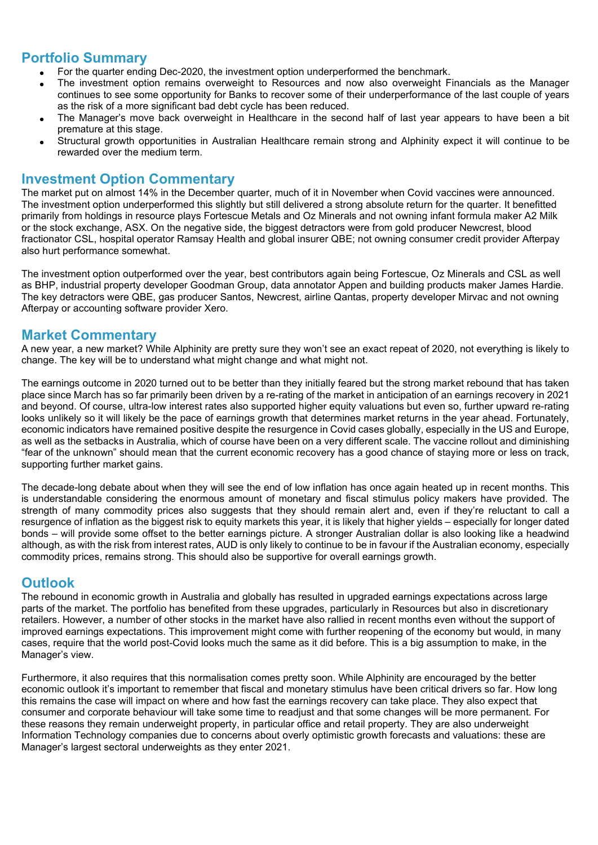### **Portfolio Summary**

- For the quarter ending Dec-2020, the investment option underperformed the benchmark.
- The investment option remains overweight to Resources and now also overweight Financials as the Manager continues to see some opportunity for Banks to recover some of their underperformance of the last couple of years as the risk of a more significant bad debt cycle has been reduced.
- The Manager's move back overweight in Healthcare in the second half of last year appears to have been a bit premature at this stage.
- Structural growth opportunities in Australian Healthcare remain strong and Alphinity expect it will continue to be rewarded over the medium term.

#### **Investment Option Commentary**

The market put on almost 14% in the December quarter, much of it in November when Covid vaccines were announced. The investment option underperformed this slightly but still delivered a strong absolute return for the quarter. It benefitted primarily from holdings in resource plays Fortescue Metals and Oz Minerals and not owning infant formula maker A2 Milk or the stock exchange, ASX. On the negative side, the biggest detractors were from gold producer Newcrest, blood fractionator CSL, hospital operator Ramsay Health and global insurer QBE; not owning consumer credit provider Afterpay also hurt performance somewhat.

The investment option outperformed over the year, best contributors again being Fortescue, Oz Minerals and CSL as well as BHP, industrial property developer Goodman Group, data annotator Appen and building products maker James Hardie. The key detractors were QBE, gas producer Santos, Newcrest, airline Qantas, property developer Mirvac and not owning Afterpay or accounting software provider Xero.

#### **Market Commentary**

A new year, a new market? While Alphinity are pretty sure they won't see an exact repeat of 2020, not everything is likely to change. The key will be to understand what might change and what might not.

The earnings outcome in 2020 turned out to be better than they initially feared but the strong market rebound that has taken place since March has so far primarily been driven by a re-rating of the market in anticipation of an earnings recovery in 2021 and beyond. Of course, ultra-low interest rates also supported higher equity valuations but even so, further upward re-rating looks unlikely so it will likely be the pace of earnings growth that determines market returns in the year ahead. Fortunately, economic indicators have remained positive despite the resurgence in Covid cases globally, especially in the US and Europe, as well as the setbacks in Australia, which of course have been on a very different scale. The vaccine rollout and diminishing "fear of the unknown" should mean that the current economic recovery has a good chance of staying more or less on track, supporting further market gains.

The decade-long debate about when they will see the end of low inflation has once again heated up in recent months. This is understandable considering the enormous amount of monetary and fiscal stimulus policy makers have provided. The strength of many commodity prices also suggests that they should remain alert and, even if they're reluctant to call a resurgence of inflation as the biggest risk to equity markets this year, it is likely that higher yields – especially for longer dated bonds – will provide some offset to the better earnings picture. A stronger Australian dollar is also looking like a headwind although, as with the risk from interest rates, AUD is only likely to continue to be in favour if the Australian economy, especially commodity prices, remains strong. This should also be supportive for overall earnings growth.

#### **Outlook**

The rebound in economic growth in Australia and globally has resulted in upgraded earnings expectations across large parts of the market. The portfolio has benefited from these upgrades, particularly in Resources but also in discretionary retailers. However, a number of other stocks in the market have also rallied in recent months even without the support of improved earnings expectations. This improvement might come with further reopening of the economy but would, in many cases, require that the world post-Covid looks much the same as it did before. This is a big assumption to make, in the Manager's view.

Furthermore, it also requires that this normalisation comes pretty soon. While Alphinity are encouraged by the better economic outlook it's important to remember that fiscal and monetary stimulus have been critical drivers so far. How long this remains the case will impact on where and how fast the earnings recovery can take place. They also expect that consumer and corporate behaviour will take some time to readjust and that some changes will be more permanent. For these reasons they remain underweight property, in particular office and retail property. They are also underweight Information Technology companies due to concerns about overly optimistic growth forecasts and valuations: these are Manager's largest sectoral underweights as they enter 2021.